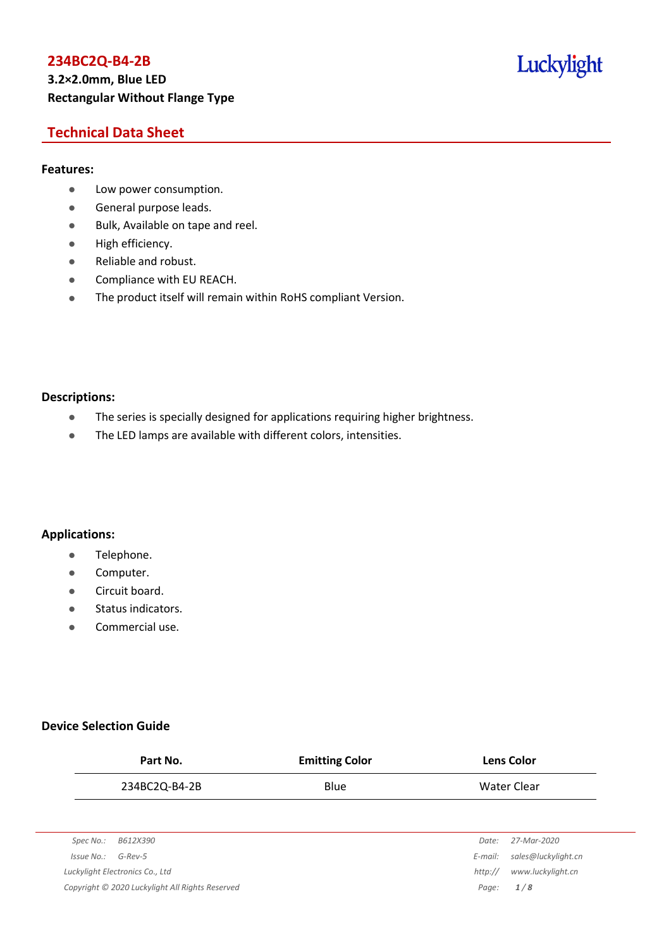## **Technical Data Sheet**

#### **Features:**

- **•** Low power consumption.
- **General purpose leads.**
- Bulk, Available on tape and reel.
- High efficiency.
- Reliable and robust.
- **•** Compliance with EU REACH.
- The product itself will remain within RoHS compliant Version.

#### **Descriptions:**

- The series is specially designed for applications requiring higher brightness.
- The LED lamps are available with different colors, intensities.

#### **Applications:**

- **•** Telephone.
- **•** Computer.
- **•** Circuit board.
- Status indicators.
- Commercial use.

#### **Device Selection Guide**

|                       | Part No.                                        | <b>Emitting Color</b> |         | <b>Lens Color</b>   |
|-----------------------|-------------------------------------------------|-----------------------|---------|---------------------|
|                       | 234BC2Q-B4-2B                                   | Blue                  |         | Water Clear         |
|                       |                                                 |                       |         |                     |
| Spec No.:             | B612X390                                        |                       | Date:   | 27-Mar-2020         |
| $Is sue No.: G-Rev-5$ |                                                 |                       | E-mail: | sales@luckylight.cn |
|                       | Luckylight Electronics Co., Ltd                 |                       | http:// | www.luckylight.cn   |
|                       | Copyright © 2020 Luckylight All Rights Reserved |                       | Page:   | 1/8                 |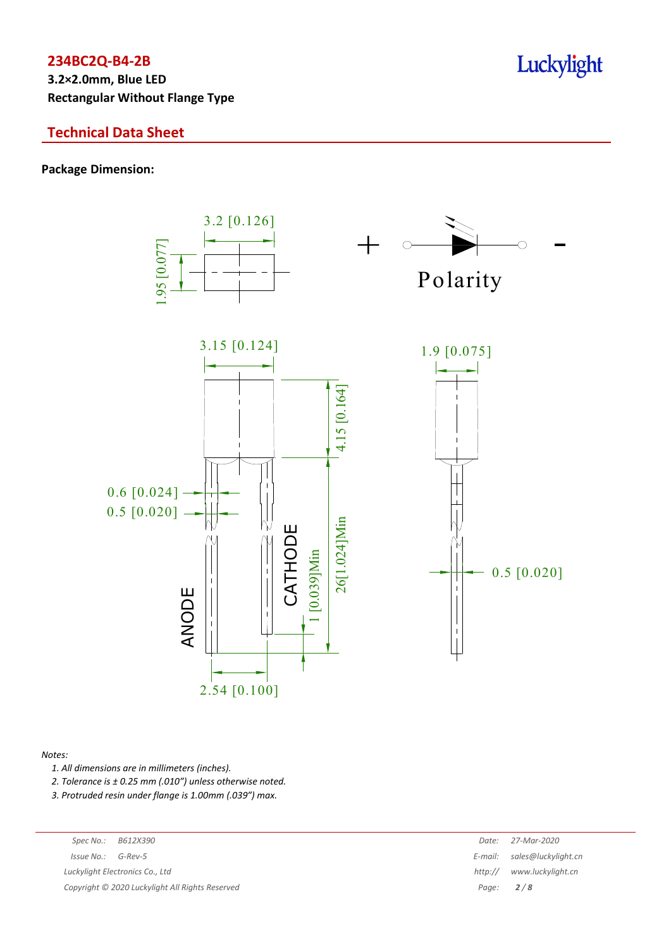**3.2×2.0mm, Blue LED Rectangular Without Flange Type**

## **Technical Data Sheet**

#### **Package Dimension:**



#### *Notes:*

*1. All dimensions are in millimeters (inches).*

*2. Tolerance is ± 0.25 mm (.010″) unless otherwise noted.*

*3. Protruded resin under flange is 1.00mm (.039″) max.*

*Luckylight Electronics Co., Ltd* 

*Copyright © 2020 Luckylight All Rights Reserved Page: 2 / 8*

| Spec No.:                                     | B612X390 | Date:       | 27-Mar-2020                 |
|-----------------------------------------------|----------|-------------|-----------------------------|
| 'ssue No.:                                    | G-Rev-5  |             | E-mail: sales@luckylight.cn |
| ckylight Electronics Co., Ltd                 |          |             | http:// www.luckylight.cn   |
| pyright © 2020 Luckylight All Rights Reserved |          | Page: $2/8$ |                             |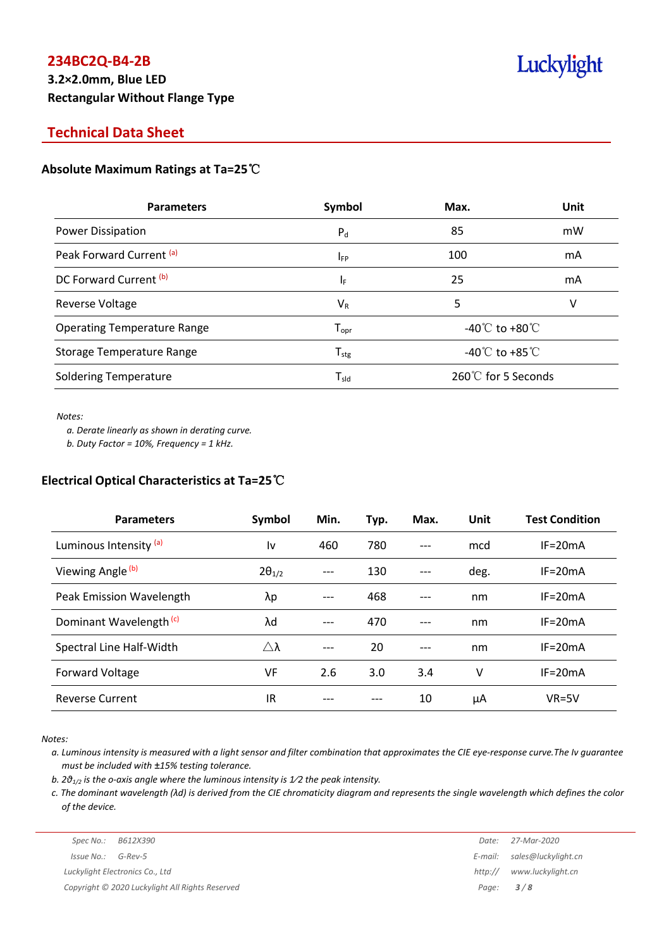## **3.2×2.0mm, Blue LED Rectangular Without Flange Type**

# Luckylight

## **Technical Data Sheet**

### **Absolute Maximum Ratings at Ta=25**℃

| <b>Parameters</b>                  | Symbol                       | Max.                                 | Unit |
|------------------------------------|------------------------------|--------------------------------------|------|
| Power Dissipation                  | $P_{d}$                      | 85                                   | mW   |
| Peak Forward Current (a)           | <b>IFP</b>                   | 100                                  | mA   |
| DC Forward Current <sup>(b)</sup>  | IF.                          | 25                                   | mA   |
| Reverse Voltage                    | $V_{R}$                      | 5                                    | ٧    |
| <b>Operating Temperature Range</b> | $T_{\mathsf{opr}}$           | -40 $^{\circ}$ C to +80 $^{\circ}$ C |      |
| Storage Temperature Range          | ${\mathsf T}_{\textsf{stg}}$ | -40 $^{\circ}$ C to +85 $^{\circ}$ C |      |
| <b>Soldering Temperature</b>       | $T_{\sf sld}$                | $260^{\circ}$ for 5 Seconds          |      |

*Notes:*

*a. Derate linearly as shown in derating curve.*

*b. Duty Factor = 10%, Frequency = 1 kHz.*

#### **Electrical Optical Characteristics at Ta=25**℃

| <b>Parameters</b>                  | Symbol          | Min.  | Typ. | Max.  | Unit | <b>Test Condition</b> |
|------------------------------------|-----------------|-------|------|-------|------|-----------------------|
| Luminous Intensity <sup>(a)</sup>  | ١v              | 460   | 780  | $---$ | mcd  | $IF = 20mA$           |
| Viewing Angle (b)                  | $2\theta_{1/2}$ | $---$ | 130  | $---$ | deg. | $IF = 20mA$           |
| Peak Emission Wavelength           | λp              |       | 468  |       | nm   | $IF = 20mA$           |
| Dominant Wavelength <sup>(c)</sup> | λd              | $---$ | 470  | ---   | nm   | $IF = 20mA$           |
| Spectral Line Half-Width           | Δλ              | $---$ | 20   |       | nm   | $IF = 20mA$           |
| Forward Voltage                    | VF              | 2.6   | 3.0  | 3.4   | ٧    | $IF = 20mA$           |
| <b>Reverse Current</b>             | IR              |       |      | 10    | μA   | $VR=5V$               |

*Notes:*

a. Luminous intensity is measured with a light sensor and filter combination that approximates the CIE eye-response curve. The Iv guarantee *must be included with ±15% testing tolerance.*

*b. 2θ1/2 is the o-axis angle where the luminous intensity is 1⁄2 the peak intensity.*

c. The dominant wavelength ( $\lambda$ d) is derived from the CIE chromaticity diagram and represents the single wavelength which defines the color *of the device.*

|                      | Spec No.: B612X390              | Date: | 27-Mar-2020                 |
|----------------------|---------------------------------|-------|-----------------------------|
| $Issue No.: G-Rev-5$ |                                 |       | E-mail: sales@luckylight.cn |
|                      | Luckylight Electronics Co., Ltd |       | http:// www.luckylight.cn   |
|                      |                                 |       |                             |

*Copyright © 2020 Luckylight All Rights Reserved Page: 3 / 8*

| Date:   | 27-Mar-2020         |
|---------|---------------------|
| E-mail: | sales@luckylight.cn |
| http:// | www.luckylight.cn   |
| Page:   | 3/8                 |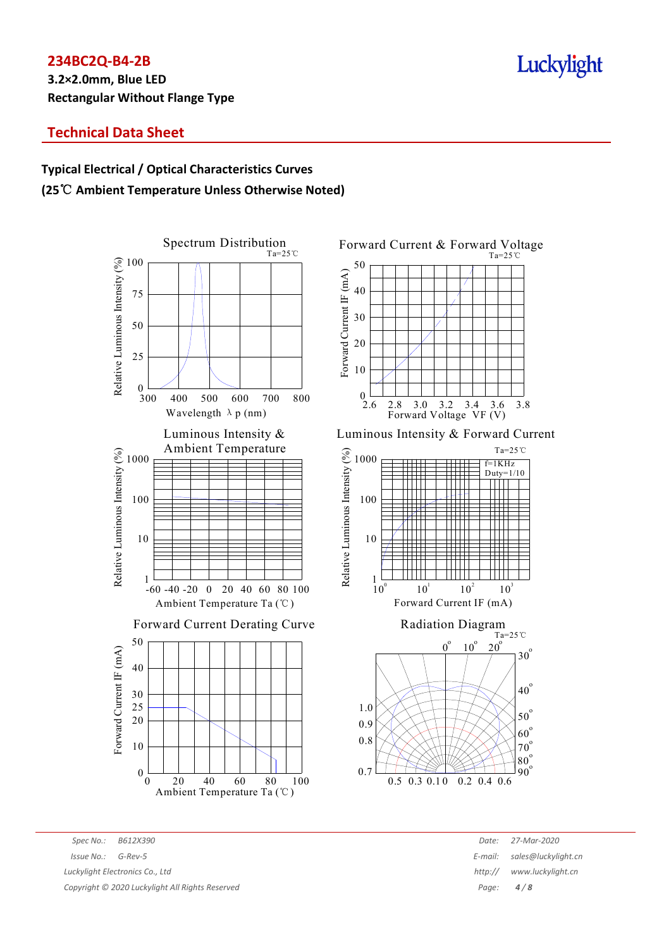**3.2×2.0mm, Blue LED Rectangular Without Flange Type**

## **Technical Data Sheet**

## **Typical Electrical / Optical Characteristics Curves (25**℃ **Ambient Temperature Unless Otherwise Noted)**



Forward Current & Forward Voltage Ta=25℃ 50 Forward Current IF (mA) Forward Current IF (mA) 40 30 20 10  $0^{1}$ <br>2.6 2.8 3.0 3.2 3.4 3.6 3.8 Forward Voltage VF (V)

Luminous Intensity & Forward Current





*Spec No.: B612X390 Date: 27-Mar-2020 Issue No.: G-Rev-5 E-mail: sales@luckylight.cn Luckylight Electronics Co., Ltd http:// www.luckylight.cn*

*Copyright © 2020 Luckylight All Rights Reserved Page: 4 / 8*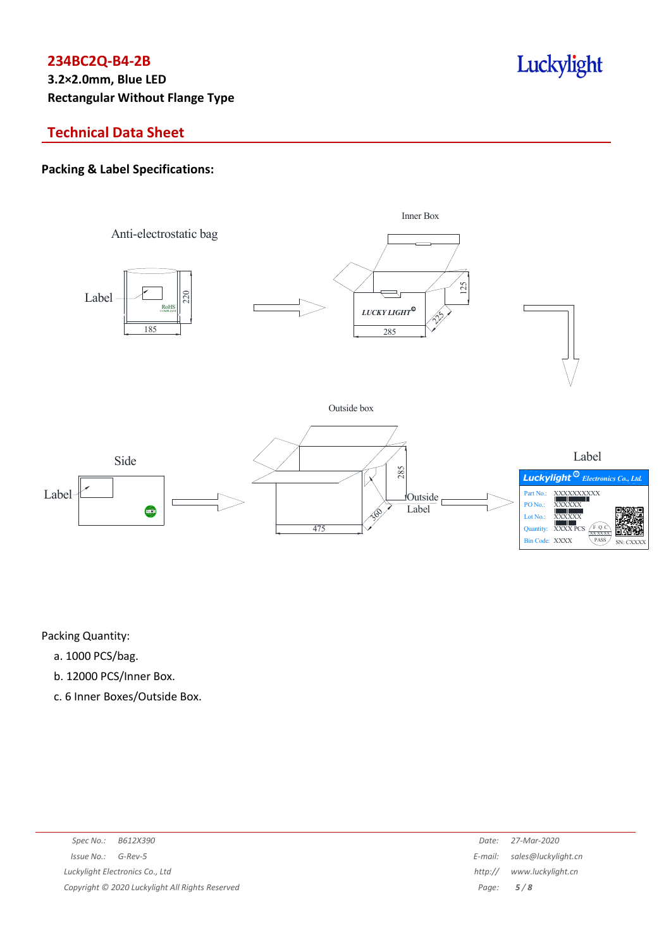**3.2×2.0mm, Blue LED Rectangular Without Flange Type**

## **Technical Data Sheet**

### **Packing & Label Specifications:**



Luckylight

Packing Quantity:

- a. 1000 PCS/bag.
- b. 12000 PCS/Inner Box.
- c. 6 Inner Boxes/Outside Box.

| Spec No.:<br>B612X390                           | Date:   | 27-Mar-2020                 |
|-------------------------------------------------|---------|-----------------------------|
| $Is sue No.:  G-Rev-5$                          |         | E-mail: sales@luckylight.cn |
| Luckylight Electronics Co., Ltd                 | http:// | www.luckylight.cn           |
| Copyright © 2020 Luckylight All Rights Reserved |         | Page: $5/8$                 |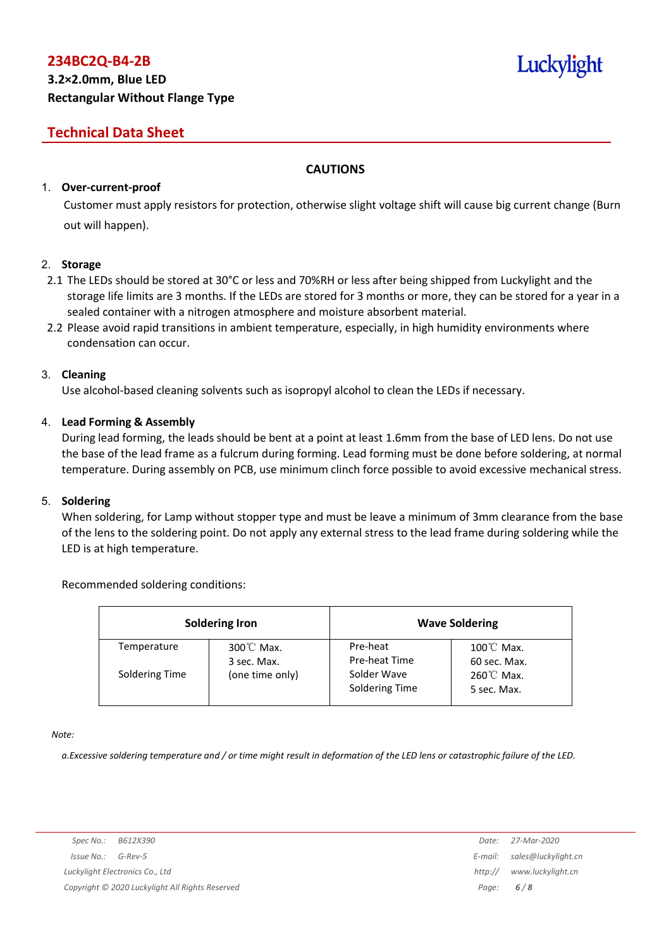## **Technical Data Sheet**

#### **CAUTIONS**

#### 1. **Over-current-proof**

Customer must apply resistors for protection, otherwise slight voltage shift will cause big current change (Burn out will happen).

#### 2. **Storage**

- 2.1 The LEDs should be stored at 30°C or less and 70%RH or less after being shipped from Luckylight and the storage life limits are 3 months. If the LEDs are stored for 3 months or more, they can be stored for a year in a sealed container with a nitrogen atmosphere and moisture absorbent material.
- 2.2 Please avoid rapid transitions in ambient temperature, especially, in high humidity environments where condensation can occur.

#### 3. **Cleaning**

Use alcohol-based cleaning solvents such as isopropyl alcohol to clean the LEDs if necessary.

#### 4. **Lead Forming & Assembly**

During lead forming, the leads should be bent at a point at least 1.6mm from the base of LED lens. Do not use the base of the lead frame as a fulcrum during forming. Lead forming must be done before soldering, at normal temperature. During assembly on PCB, use minimum clinch force possible to avoid excessive mechanical stress.

#### 5. **Soldering**

When soldering, for Lamp without stopper type and must be leave a minimum of 3mm clearance from the base of the lens to the soldering point. Do not apply any external stress to the lead frame during soldering while the LED is at high temperature.

#### Recommended soldering conditions:

|                | <b>Soldering Iron</b>               |                               | <b>Wave Soldering</b>                |
|----------------|-------------------------------------|-------------------------------|--------------------------------------|
| Temperature    | $300^{\circ}$ C Max.<br>3 sec. Max. | Pre-heat<br>Pre-heat Time     | $100^{\circ}$ C Max.<br>60 sec. Max. |
| Soldering Time | (one time only)                     | Solder Wave<br>Soldering Time | $260^{\circ}$ C Max.<br>5 sec. Max.  |

*Note:*

a. Excessive soldering temperature and / or time might result in deformation of the LED lens or catastrophic failure of the LED.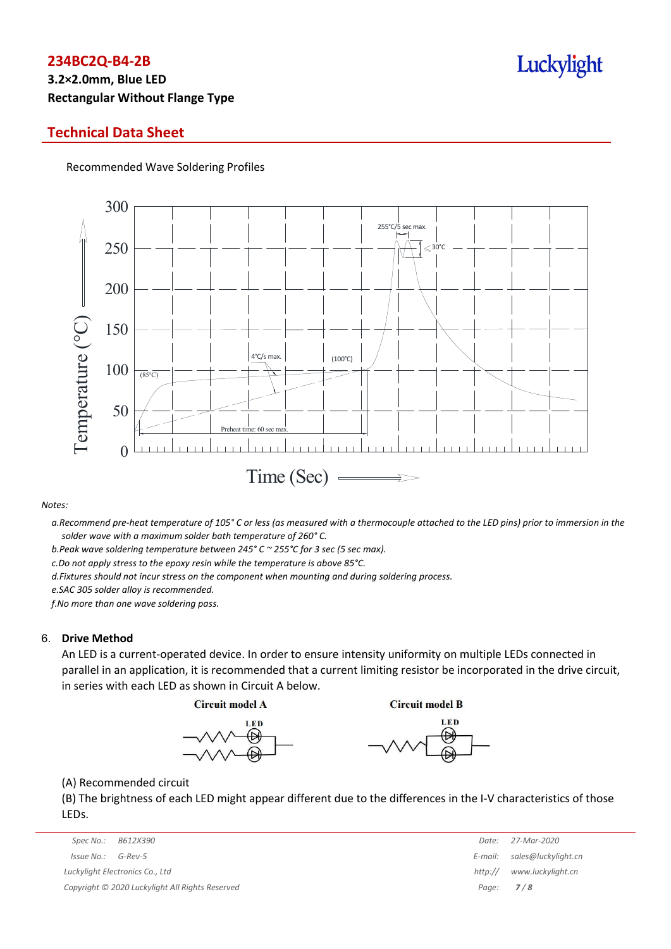## **3.2×2.0mm, Blue LED Rectangular Without Flange Type**

### **Technical Data Sheet**

Recommended Wave Soldering Profiles



#### *Notes:*

a. Recommend pre-heat temperature of 105° C or less (as measured with a thermocouple attached to the LED pins) prior to immersion in the *solder wave with a maximum solder bath temperature of 260° C.*

*b.Peak wave soldering temperature between 245° C ~ 255°C for 3 sec (5 sec max).*

*c.Do not apply stress to the epoxy resin while the temperature is above 85°C.*

*d.Fixtures should not incur stress on the component when mounting and during soldering process.*

*e.SAC 305 solder alloy is recommended.*

*f.No more than one wave soldering pass.*

#### 6. **Drive Method**

An LED is a current-operated device. In order to ensure intensity uniformity on multiple LEDs connected in parallel in an application, it is recommended that a current limiting resistor be incorporated in the drive circuit, in series with each LED as shown in Circuit A below.

**Circuit model A** 

**Circuit model B** 





(A) Recommended circuit

(B) The brightness of each LED might appear different due to the differences in the I-V characteristics of those LEDs.

|                                                 | Spec No.:  | B612X390    | Date:             | 27-Mar-2020         |
|-------------------------------------------------|------------|-------------|-------------------|---------------------|
|                                                 | Issue No.: | G-Rev-5     | E-mail:           | sales@luckylight.cn |
| Luckylight Electronics Co., Ltd                 |            | http://     | www.luckylight.cn |                     |
| Copyright © 2020 Luckylight All Rights Reserved |            | Page: $7/8$ |                   |                     |

|                  | Date: 27-Mar-2020           |
|------------------|-----------------------------|
|                  | E-mail: sales@luckylight.cn |
|                  | http:// www.luckylight.cn   |
| Page: <b>7/8</b> |                             |